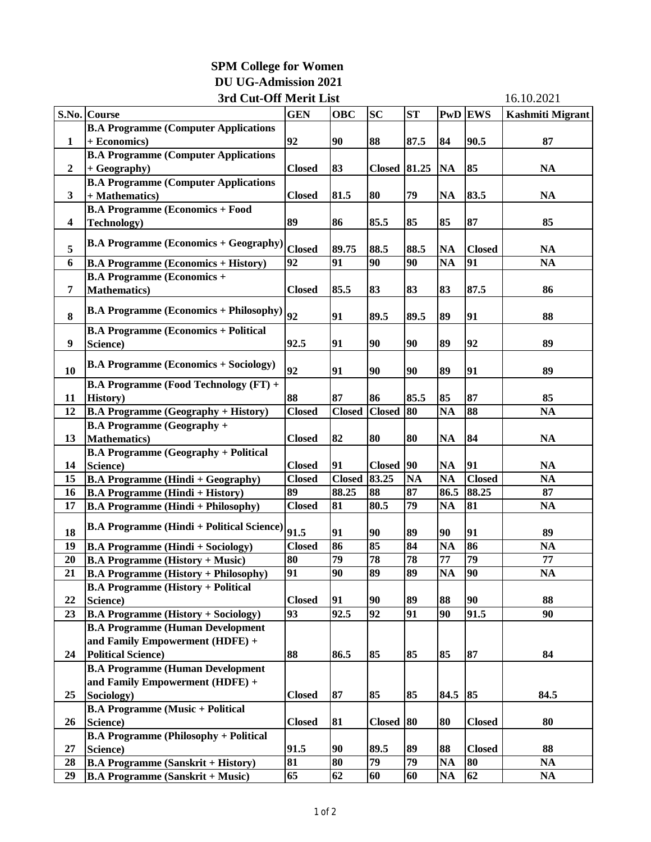## **SPM College for Women DU UG-Admission 2021 3rd Cut-Off Merit List**

| <b>ST</b><br><b>GEN</b><br><b>SC</b><br><b>PwD</b> EWS<br><b>Kashmiti Migrant</b><br>S.No. Course<br><b>OBC</b><br><b>B.A Programme (Computer Applications</b><br>92<br>90.5<br>90<br>88<br>87.5<br>84<br>87<br>$\mathbf{1}$<br>+ Economics)<br><b>B.A Programme (Computer Applications</b><br>83<br><b>Closed</b> 81.25<br>85<br>$\boldsymbol{2}$<br>+ Geography)<br><b>Closed</b><br>NA<br>NA<br><b>B.A Programme (Computer Applications</b><br>80<br>79<br>83.5<br>$\mathbf{3}$<br>+ Mathematics)<br><b>Closed</b><br>81.5<br><b>NA</b><br><b>NA</b><br><b>B.A Programme (Economics + Food</b><br>89<br>87<br>86<br>85.5<br>85<br>85<br>85<br>$\overline{\mathbf{4}}$<br><b>Technology</b> )<br><b>B.A Programme (Economics + Geography)</b><br>5<br><b>Closed</b><br>89.75<br>88.5<br>88.5<br>NA<br><b>Closed</b><br><b>NA</b><br>92<br>90<br><b>NA</b><br>91<br>6<br>91<br>90<br><b>NA</b><br><b>B.A Programme (Economics + History)</b><br><b>B.A Programme (Economics +</b><br>$\overline{7}$<br><b>Mathematics</b> )<br>83<br>87.5<br><b>Closed</b><br>85.5<br>83<br>83<br>86<br><b>B.A Programme (Economics + Philosophy)</b><br>92<br>8<br>89<br>91<br>89.5<br>89.5<br>91<br>88<br><b>B.A Programme (Economics + Political</b><br>$\boldsymbol{9}$<br>92.5<br>91<br>90<br>90<br>89<br>92<br>89<br>Science)<br><b>B.A Programme (Economics + Sociology)</b><br>92<br>10<br>91<br>90<br>90<br>89<br>91<br>89<br><b>B.A Programme (Food Technology (FT) +</b><br>88<br>87<br>85.5<br>85<br>87<br>11<br>History)<br>86<br>85<br>80<br><b>NA</b><br>88<br>12<br><b>Closed</b><br><b>Closed</b><br><b>Closed</b><br><b>NA</b><br><b>B.A Programme (Geography + History)</b><br><b>B.A Programme (Geography +</b><br><b>Mathematics</b> )<br>82<br>80<br>80<br>84<br>13<br><b>NA</b><br><b>NA</b><br><b>Closed</b><br><b>B.A Programme (Geography + Political</b><br>91<br>14<br>Science)<br>91<br>90<br><b>Closed</b><br>NA<br>NA<br><b>Closed</b><br><b>Closed</b><br><b>Closed</b> 83.25<br><b>NA</b><br><b>Closed</b><br><b>B.A Programme (Hindi + Geography)</b><br><b>NA</b><br><b>NA</b><br>15<br>87<br>89<br>88<br>88.25<br>88.25<br>86.5<br>87<br>16<br><b>B.A Programme (Hindi + History)</b><br>80.5<br>79<br>81<br>17<br><b>Closed</b><br>81<br><b>NA</b><br><b>NA</b><br><b>B.A Programme (Hindi + Philosophy)</b><br><b>B.A Programme (Hindi + Political Science)</b><br>91.5<br>18<br>90<br>89<br>91<br>91<br>90<br>89<br>85<br>84<br>86<br><b>Closed</b><br>86<br><b>NA</b><br>19<br><b>NA</b><br><b>B.A Programme (Hindi + Sociology)</b><br>79<br>78<br>77<br>79<br>20<br>80<br>78<br>77<br><b>B.A Programme (History + Music)</b><br>90<br>91<br>90<br>89<br>89<br>NA<br>21<br><b>B.A Programme (History + Philosophy)</b><br>NA<br><b>B.A Programme (History + Political</b><br>89<br>88<br>90<br>22<br><b>Closed</b><br>91<br>90<br>88<br>Science)<br>91<br>$\overline{92}$<br>$\overline{90}$<br>91.5<br><b>B.A Programme (History + Sociology)</b><br>93<br>92.5<br>90<br>23<br><b>B.A Programme (Human Development</b><br>and Family Empowerment (HDFE) +<br>87<br>88<br>85<br>85<br>85<br>24<br><b>Political Science)</b><br>86.5<br>84<br><b>B.A Programme (Human Development</b><br>and Family Empowerment (HDFE) +<br>87<br>85<br>25<br><b>Closed</b><br>85<br>85<br>84.5<br>84.5<br>Sociology)<br><b>B.A Programme (Music + Political</b><br>81<br><b>Closed</b><br>80<br>80<br><b>Closed</b><br>26<br>Science)<br><b>Closed</b><br>80<br><b>B.A Programme (Philosophy + Political</b><br>91.5<br>27<br>Science)<br>90<br>89.5<br>89<br>88<br><b>Closed</b><br>88<br>$\overline{79}$<br>81<br>79<br>80<br><b>NA</b><br>80<br>28<br><b>B.A Programme (Sanskrit + History)</b><br>NA<br>65<br>29<br>62<br>60<br><b>NA</b><br>62<br>NA<br><b>B.A Programme (Sanskrit + Music)</b><br>60 | 3rd Cut-Off Merit List |  |  |  |  |  |  | 16.10.2021 |
|----------------------------------------------------------------------------------------------------------------------------------------------------------------------------------------------------------------------------------------------------------------------------------------------------------------------------------------------------------------------------------------------------------------------------------------------------------------------------------------------------------------------------------------------------------------------------------------------------------------------------------------------------------------------------------------------------------------------------------------------------------------------------------------------------------------------------------------------------------------------------------------------------------------------------------------------------------------------------------------------------------------------------------------------------------------------------------------------------------------------------------------------------------------------------------------------------------------------------------------------------------------------------------------------------------------------------------------------------------------------------------------------------------------------------------------------------------------------------------------------------------------------------------------------------------------------------------------------------------------------------------------------------------------------------------------------------------------------------------------------------------------------------------------------------------------------------------------------------------------------------------------------------------------------------------------------------------------------------------------------------------------------------------------------------------------------------------------------------------------------------------------------------------------------------------------------------------------------------------------------------------------------------------------------------------------------------------------------------------------------------------------------------------------------------------------------------------------------------------------------------------------------------------------------------------------------------------------------------------------------------------------------------------------------------------------------------------------------------------------------------------------------------------------------------------------------------------------------------------------------------------------------------------------------------------------------------------------------------------------------------------------------------------------------------------------------------------------------------------------------------------------------------------------------------------------------------------------------------------------------------------------------------------------------------------------------------------------------------------------------------------------------------------------------------------------------------------------------------------------------------------------------------------------------------------------------------------------------------------------------------------------------------------------------------------------------------------------------------------------------------------------------------------------------------------------------|------------------------|--|--|--|--|--|--|------------|
|                                                                                                                                                                                                                                                                                                                                                                                                                                                                                                                                                                                                                                                                                                                                                                                                                                                                                                                                                                                                                                                                                                                                                                                                                                                                                                                                                                                                                                                                                                                                                                                                                                                                                                                                                                                                                                                                                                                                                                                                                                                                                                                                                                                                                                                                                                                                                                                                                                                                                                                                                                                                                                                                                                                                                                                                                                                                                                                                                                                                                                                                                                                                                                                                                                                                                                                                                                                                                                                                                                                                                                                                                                                                                                                                                                                                                      |                        |  |  |  |  |  |  |            |
|                                                                                                                                                                                                                                                                                                                                                                                                                                                                                                                                                                                                                                                                                                                                                                                                                                                                                                                                                                                                                                                                                                                                                                                                                                                                                                                                                                                                                                                                                                                                                                                                                                                                                                                                                                                                                                                                                                                                                                                                                                                                                                                                                                                                                                                                                                                                                                                                                                                                                                                                                                                                                                                                                                                                                                                                                                                                                                                                                                                                                                                                                                                                                                                                                                                                                                                                                                                                                                                                                                                                                                                                                                                                                                                                                                                                                      |                        |  |  |  |  |  |  |            |
|                                                                                                                                                                                                                                                                                                                                                                                                                                                                                                                                                                                                                                                                                                                                                                                                                                                                                                                                                                                                                                                                                                                                                                                                                                                                                                                                                                                                                                                                                                                                                                                                                                                                                                                                                                                                                                                                                                                                                                                                                                                                                                                                                                                                                                                                                                                                                                                                                                                                                                                                                                                                                                                                                                                                                                                                                                                                                                                                                                                                                                                                                                                                                                                                                                                                                                                                                                                                                                                                                                                                                                                                                                                                                                                                                                                                                      |                        |  |  |  |  |  |  |            |
|                                                                                                                                                                                                                                                                                                                                                                                                                                                                                                                                                                                                                                                                                                                                                                                                                                                                                                                                                                                                                                                                                                                                                                                                                                                                                                                                                                                                                                                                                                                                                                                                                                                                                                                                                                                                                                                                                                                                                                                                                                                                                                                                                                                                                                                                                                                                                                                                                                                                                                                                                                                                                                                                                                                                                                                                                                                                                                                                                                                                                                                                                                                                                                                                                                                                                                                                                                                                                                                                                                                                                                                                                                                                                                                                                                                                                      |                        |  |  |  |  |  |  |            |
|                                                                                                                                                                                                                                                                                                                                                                                                                                                                                                                                                                                                                                                                                                                                                                                                                                                                                                                                                                                                                                                                                                                                                                                                                                                                                                                                                                                                                                                                                                                                                                                                                                                                                                                                                                                                                                                                                                                                                                                                                                                                                                                                                                                                                                                                                                                                                                                                                                                                                                                                                                                                                                                                                                                                                                                                                                                                                                                                                                                                                                                                                                                                                                                                                                                                                                                                                                                                                                                                                                                                                                                                                                                                                                                                                                                                                      |                        |  |  |  |  |  |  |            |
|                                                                                                                                                                                                                                                                                                                                                                                                                                                                                                                                                                                                                                                                                                                                                                                                                                                                                                                                                                                                                                                                                                                                                                                                                                                                                                                                                                                                                                                                                                                                                                                                                                                                                                                                                                                                                                                                                                                                                                                                                                                                                                                                                                                                                                                                                                                                                                                                                                                                                                                                                                                                                                                                                                                                                                                                                                                                                                                                                                                                                                                                                                                                                                                                                                                                                                                                                                                                                                                                                                                                                                                                                                                                                                                                                                                                                      |                        |  |  |  |  |  |  |            |
|                                                                                                                                                                                                                                                                                                                                                                                                                                                                                                                                                                                                                                                                                                                                                                                                                                                                                                                                                                                                                                                                                                                                                                                                                                                                                                                                                                                                                                                                                                                                                                                                                                                                                                                                                                                                                                                                                                                                                                                                                                                                                                                                                                                                                                                                                                                                                                                                                                                                                                                                                                                                                                                                                                                                                                                                                                                                                                                                                                                                                                                                                                                                                                                                                                                                                                                                                                                                                                                                                                                                                                                                                                                                                                                                                                                                                      |                        |  |  |  |  |  |  |            |
|                                                                                                                                                                                                                                                                                                                                                                                                                                                                                                                                                                                                                                                                                                                                                                                                                                                                                                                                                                                                                                                                                                                                                                                                                                                                                                                                                                                                                                                                                                                                                                                                                                                                                                                                                                                                                                                                                                                                                                                                                                                                                                                                                                                                                                                                                                                                                                                                                                                                                                                                                                                                                                                                                                                                                                                                                                                                                                                                                                                                                                                                                                                                                                                                                                                                                                                                                                                                                                                                                                                                                                                                                                                                                                                                                                                                                      |                        |  |  |  |  |  |  |            |
|                                                                                                                                                                                                                                                                                                                                                                                                                                                                                                                                                                                                                                                                                                                                                                                                                                                                                                                                                                                                                                                                                                                                                                                                                                                                                                                                                                                                                                                                                                                                                                                                                                                                                                                                                                                                                                                                                                                                                                                                                                                                                                                                                                                                                                                                                                                                                                                                                                                                                                                                                                                                                                                                                                                                                                                                                                                                                                                                                                                                                                                                                                                                                                                                                                                                                                                                                                                                                                                                                                                                                                                                                                                                                                                                                                                                                      |                        |  |  |  |  |  |  |            |
|                                                                                                                                                                                                                                                                                                                                                                                                                                                                                                                                                                                                                                                                                                                                                                                                                                                                                                                                                                                                                                                                                                                                                                                                                                                                                                                                                                                                                                                                                                                                                                                                                                                                                                                                                                                                                                                                                                                                                                                                                                                                                                                                                                                                                                                                                                                                                                                                                                                                                                                                                                                                                                                                                                                                                                                                                                                                                                                                                                                                                                                                                                                                                                                                                                                                                                                                                                                                                                                                                                                                                                                                                                                                                                                                                                                                                      |                        |  |  |  |  |  |  |            |
|                                                                                                                                                                                                                                                                                                                                                                                                                                                                                                                                                                                                                                                                                                                                                                                                                                                                                                                                                                                                                                                                                                                                                                                                                                                                                                                                                                                                                                                                                                                                                                                                                                                                                                                                                                                                                                                                                                                                                                                                                                                                                                                                                                                                                                                                                                                                                                                                                                                                                                                                                                                                                                                                                                                                                                                                                                                                                                                                                                                                                                                                                                                                                                                                                                                                                                                                                                                                                                                                                                                                                                                                                                                                                                                                                                                                                      |                        |  |  |  |  |  |  |            |
|                                                                                                                                                                                                                                                                                                                                                                                                                                                                                                                                                                                                                                                                                                                                                                                                                                                                                                                                                                                                                                                                                                                                                                                                                                                                                                                                                                                                                                                                                                                                                                                                                                                                                                                                                                                                                                                                                                                                                                                                                                                                                                                                                                                                                                                                                                                                                                                                                                                                                                                                                                                                                                                                                                                                                                                                                                                                                                                                                                                                                                                                                                                                                                                                                                                                                                                                                                                                                                                                                                                                                                                                                                                                                                                                                                                                                      |                        |  |  |  |  |  |  |            |
|                                                                                                                                                                                                                                                                                                                                                                                                                                                                                                                                                                                                                                                                                                                                                                                                                                                                                                                                                                                                                                                                                                                                                                                                                                                                                                                                                                                                                                                                                                                                                                                                                                                                                                                                                                                                                                                                                                                                                                                                                                                                                                                                                                                                                                                                                                                                                                                                                                                                                                                                                                                                                                                                                                                                                                                                                                                                                                                                                                                                                                                                                                                                                                                                                                                                                                                                                                                                                                                                                                                                                                                                                                                                                                                                                                                                                      |                        |  |  |  |  |  |  |            |
|                                                                                                                                                                                                                                                                                                                                                                                                                                                                                                                                                                                                                                                                                                                                                                                                                                                                                                                                                                                                                                                                                                                                                                                                                                                                                                                                                                                                                                                                                                                                                                                                                                                                                                                                                                                                                                                                                                                                                                                                                                                                                                                                                                                                                                                                                                                                                                                                                                                                                                                                                                                                                                                                                                                                                                                                                                                                                                                                                                                                                                                                                                                                                                                                                                                                                                                                                                                                                                                                                                                                                                                                                                                                                                                                                                                                                      |                        |  |  |  |  |  |  |            |
|                                                                                                                                                                                                                                                                                                                                                                                                                                                                                                                                                                                                                                                                                                                                                                                                                                                                                                                                                                                                                                                                                                                                                                                                                                                                                                                                                                                                                                                                                                                                                                                                                                                                                                                                                                                                                                                                                                                                                                                                                                                                                                                                                                                                                                                                                                                                                                                                                                                                                                                                                                                                                                                                                                                                                                                                                                                                                                                                                                                                                                                                                                                                                                                                                                                                                                                                                                                                                                                                                                                                                                                                                                                                                                                                                                                                                      |                        |  |  |  |  |  |  |            |
|                                                                                                                                                                                                                                                                                                                                                                                                                                                                                                                                                                                                                                                                                                                                                                                                                                                                                                                                                                                                                                                                                                                                                                                                                                                                                                                                                                                                                                                                                                                                                                                                                                                                                                                                                                                                                                                                                                                                                                                                                                                                                                                                                                                                                                                                                                                                                                                                                                                                                                                                                                                                                                                                                                                                                                                                                                                                                                                                                                                                                                                                                                                                                                                                                                                                                                                                                                                                                                                                                                                                                                                                                                                                                                                                                                                                                      |                        |  |  |  |  |  |  |            |
|                                                                                                                                                                                                                                                                                                                                                                                                                                                                                                                                                                                                                                                                                                                                                                                                                                                                                                                                                                                                                                                                                                                                                                                                                                                                                                                                                                                                                                                                                                                                                                                                                                                                                                                                                                                                                                                                                                                                                                                                                                                                                                                                                                                                                                                                                                                                                                                                                                                                                                                                                                                                                                                                                                                                                                                                                                                                                                                                                                                                                                                                                                                                                                                                                                                                                                                                                                                                                                                                                                                                                                                                                                                                                                                                                                                                                      |                        |  |  |  |  |  |  |            |
|                                                                                                                                                                                                                                                                                                                                                                                                                                                                                                                                                                                                                                                                                                                                                                                                                                                                                                                                                                                                                                                                                                                                                                                                                                                                                                                                                                                                                                                                                                                                                                                                                                                                                                                                                                                                                                                                                                                                                                                                                                                                                                                                                                                                                                                                                                                                                                                                                                                                                                                                                                                                                                                                                                                                                                                                                                                                                                                                                                                                                                                                                                                                                                                                                                                                                                                                                                                                                                                                                                                                                                                                                                                                                                                                                                                                                      |                        |  |  |  |  |  |  |            |
|                                                                                                                                                                                                                                                                                                                                                                                                                                                                                                                                                                                                                                                                                                                                                                                                                                                                                                                                                                                                                                                                                                                                                                                                                                                                                                                                                                                                                                                                                                                                                                                                                                                                                                                                                                                                                                                                                                                                                                                                                                                                                                                                                                                                                                                                                                                                                                                                                                                                                                                                                                                                                                                                                                                                                                                                                                                                                                                                                                                                                                                                                                                                                                                                                                                                                                                                                                                                                                                                                                                                                                                                                                                                                                                                                                                                                      |                        |  |  |  |  |  |  |            |
|                                                                                                                                                                                                                                                                                                                                                                                                                                                                                                                                                                                                                                                                                                                                                                                                                                                                                                                                                                                                                                                                                                                                                                                                                                                                                                                                                                                                                                                                                                                                                                                                                                                                                                                                                                                                                                                                                                                                                                                                                                                                                                                                                                                                                                                                                                                                                                                                                                                                                                                                                                                                                                                                                                                                                                                                                                                                                                                                                                                                                                                                                                                                                                                                                                                                                                                                                                                                                                                                                                                                                                                                                                                                                                                                                                                                                      |                        |  |  |  |  |  |  |            |
|                                                                                                                                                                                                                                                                                                                                                                                                                                                                                                                                                                                                                                                                                                                                                                                                                                                                                                                                                                                                                                                                                                                                                                                                                                                                                                                                                                                                                                                                                                                                                                                                                                                                                                                                                                                                                                                                                                                                                                                                                                                                                                                                                                                                                                                                                                                                                                                                                                                                                                                                                                                                                                                                                                                                                                                                                                                                                                                                                                                                                                                                                                                                                                                                                                                                                                                                                                                                                                                                                                                                                                                                                                                                                                                                                                                                                      |                        |  |  |  |  |  |  |            |
|                                                                                                                                                                                                                                                                                                                                                                                                                                                                                                                                                                                                                                                                                                                                                                                                                                                                                                                                                                                                                                                                                                                                                                                                                                                                                                                                                                                                                                                                                                                                                                                                                                                                                                                                                                                                                                                                                                                                                                                                                                                                                                                                                                                                                                                                                                                                                                                                                                                                                                                                                                                                                                                                                                                                                                                                                                                                                                                                                                                                                                                                                                                                                                                                                                                                                                                                                                                                                                                                                                                                                                                                                                                                                                                                                                                                                      |                        |  |  |  |  |  |  |            |
|                                                                                                                                                                                                                                                                                                                                                                                                                                                                                                                                                                                                                                                                                                                                                                                                                                                                                                                                                                                                                                                                                                                                                                                                                                                                                                                                                                                                                                                                                                                                                                                                                                                                                                                                                                                                                                                                                                                                                                                                                                                                                                                                                                                                                                                                                                                                                                                                                                                                                                                                                                                                                                                                                                                                                                                                                                                                                                                                                                                                                                                                                                                                                                                                                                                                                                                                                                                                                                                                                                                                                                                                                                                                                                                                                                                                                      |                        |  |  |  |  |  |  |            |
|                                                                                                                                                                                                                                                                                                                                                                                                                                                                                                                                                                                                                                                                                                                                                                                                                                                                                                                                                                                                                                                                                                                                                                                                                                                                                                                                                                                                                                                                                                                                                                                                                                                                                                                                                                                                                                                                                                                                                                                                                                                                                                                                                                                                                                                                                                                                                                                                                                                                                                                                                                                                                                                                                                                                                                                                                                                                                                                                                                                                                                                                                                                                                                                                                                                                                                                                                                                                                                                                                                                                                                                                                                                                                                                                                                                                                      |                        |  |  |  |  |  |  |            |
|                                                                                                                                                                                                                                                                                                                                                                                                                                                                                                                                                                                                                                                                                                                                                                                                                                                                                                                                                                                                                                                                                                                                                                                                                                                                                                                                                                                                                                                                                                                                                                                                                                                                                                                                                                                                                                                                                                                                                                                                                                                                                                                                                                                                                                                                                                                                                                                                                                                                                                                                                                                                                                                                                                                                                                                                                                                                                                                                                                                                                                                                                                                                                                                                                                                                                                                                                                                                                                                                                                                                                                                                                                                                                                                                                                                                                      |                        |  |  |  |  |  |  |            |
|                                                                                                                                                                                                                                                                                                                                                                                                                                                                                                                                                                                                                                                                                                                                                                                                                                                                                                                                                                                                                                                                                                                                                                                                                                                                                                                                                                                                                                                                                                                                                                                                                                                                                                                                                                                                                                                                                                                                                                                                                                                                                                                                                                                                                                                                                                                                                                                                                                                                                                                                                                                                                                                                                                                                                                                                                                                                                                                                                                                                                                                                                                                                                                                                                                                                                                                                                                                                                                                                                                                                                                                                                                                                                                                                                                                                                      |                        |  |  |  |  |  |  |            |
|                                                                                                                                                                                                                                                                                                                                                                                                                                                                                                                                                                                                                                                                                                                                                                                                                                                                                                                                                                                                                                                                                                                                                                                                                                                                                                                                                                                                                                                                                                                                                                                                                                                                                                                                                                                                                                                                                                                                                                                                                                                                                                                                                                                                                                                                                                                                                                                                                                                                                                                                                                                                                                                                                                                                                                                                                                                                                                                                                                                                                                                                                                                                                                                                                                                                                                                                                                                                                                                                                                                                                                                                                                                                                                                                                                                                                      |                        |  |  |  |  |  |  |            |
|                                                                                                                                                                                                                                                                                                                                                                                                                                                                                                                                                                                                                                                                                                                                                                                                                                                                                                                                                                                                                                                                                                                                                                                                                                                                                                                                                                                                                                                                                                                                                                                                                                                                                                                                                                                                                                                                                                                                                                                                                                                                                                                                                                                                                                                                                                                                                                                                                                                                                                                                                                                                                                                                                                                                                                                                                                                                                                                                                                                                                                                                                                                                                                                                                                                                                                                                                                                                                                                                                                                                                                                                                                                                                                                                                                                                                      |                        |  |  |  |  |  |  |            |
|                                                                                                                                                                                                                                                                                                                                                                                                                                                                                                                                                                                                                                                                                                                                                                                                                                                                                                                                                                                                                                                                                                                                                                                                                                                                                                                                                                                                                                                                                                                                                                                                                                                                                                                                                                                                                                                                                                                                                                                                                                                                                                                                                                                                                                                                                                                                                                                                                                                                                                                                                                                                                                                                                                                                                                                                                                                                                                                                                                                                                                                                                                                                                                                                                                                                                                                                                                                                                                                                                                                                                                                                                                                                                                                                                                                                                      |                        |  |  |  |  |  |  |            |
|                                                                                                                                                                                                                                                                                                                                                                                                                                                                                                                                                                                                                                                                                                                                                                                                                                                                                                                                                                                                                                                                                                                                                                                                                                                                                                                                                                                                                                                                                                                                                                                                                                                                                                                                                                                                                                                                                                                                                                                                                                                                                                                                                                                                                                                                                                                                                                                                                                                                                                                                                                                                                                                                                                                                                                                                                                                                                                                                                                                                                                                                                                                                                                                                                                                                                                                                                                                                                                                                                                                                                                                                                                                                                                                                                                                                                      |                        |  |  |  |  |  |  |            |
|                                                                                                                                                                                                                                                                                                                                                                                                                                                                                                                                                                                                                                                                                                                                                                                                                                                                                                                                                                                                                                                                                                                                                                                                                                                                                                                                                                                                                                                                                                                                                                                                                                                                                                                                                                                                                                                                                                                                                                                                                                                                                                                                                                                                                                                                                                                                                                                                                                                                                                                                                                                                                                                                                                                                                                                                                                                                                                                                                                                                                                                                                                                                                                                                                                                                                                                                                                                                                                                                                                                                                                                                                                                                                                                                                                                                                      |                        |  |  |  |  |  |  |            |
|                                                                                                                                                                                                                                                                                                                                                                                                                                                                                                                                                                                                                                                                                                                                                                                                                                                                                                                                                                                                                                                                                                                                                                                                                                                                                                                                                                                                                                                                                                                                                                                                                                                                                                                                                                                                                                                                                                                                                                                                                                                                                                                                                                                                                                                                                                                                                                                                                                                                                                                                                                                                                                                                                                                                                                                                                                                                                                                                                                                                                                                                                                                                                                                                                                                                                                                                                                                                                                                                                                                                                                                                                                                                                                                                                                                                                      |                        |  |  |  |  |  |  |            |
|                                                                                                                                                                                                                                                                                                                                                                                                                                                                                                                                                                                                                                                                                                                                                                                                                                                                                                                                                                                                                                                                                                                                                                                                                                                                                                                                                                                                                                                                                                                                                                                                                                                                                                                                                                                                                                                                                                                                                                                                                                                                                                                                                                                                                                                                                                                                                                                                                                                                                                                                                                                                                                                                                                                                                                                                                                                                                                                                                                                                                                                                                                                                                                                                                                                                                                                                                                                                                                                                                                                                                                                                                                                                                                                                                                                                                      |                        |  |  |  |  |  |  |            |
|                                                                                                                                                                                                                                                                                                                                                                                                                                                                                                                                                                                                                                                                                                                                                                                                                                                                                                                                                                                                                                                                                                                                                                                                                                                                                                                                                                                                                                                                                                                                                                                                                                                                                                                                                                                                                                                                                                                                                                                                                                                                                                                                                                                                                                                                                                                                                                                                                                                                                                                                                                                                                                                                                                                                                                                                                                                                                                                                                                                                                                                                                                                                                                                                                                                                                                                                                                                                                                                                                                                                                                                                                                                                                                                                                                                                                      |                        |  |  |  |  |  |  |            |
|                                                                                                                                                                                                                                                                                                                                                                                                                                                                                                                                                                                                                                                                                                                                                                                                                                                                                                                                                                                                                                                                                                                                                                                                                                                                                                                                                                                                                                                                                                                                                                                                                                                                                                                                                                                                                                                                                                                                                                                                                                                                                                                                                                                                                                                                                                                                                                                                                                                                                                                                                                                                                                                                                                                                                                                                                                                                                                                                                                                                                                                                                                                                                                                                                                                                                                                                                                                                                                                                                                                                                                                                                                                                                                                                                                                                                      |                        |  |  |  |  |  |  |            |
|                                                                                                                                                                                                                                                                                                                                                                                                                                                                                                                                                                                                                                                                                                                                                                                                                                                                                                                                                                                                                                                                                                                                                                                                                                                                                                                                                                                                                                                                                                                                                                                                                                                                                                                                                                                                                                                                                                                                                                                                                                                                                                                                                                                                                                                                                                                                                                                                                                                                                                                                                                                                                                                                                                                                                                                                                                                                                                                                                                                                                                                                                                                                                                                                                                                                                                                                                                                                                                                                                                                                                                                                                                                                                                                                                                                                                      |                        |  |  |  |  |  |  |            |
|                                                                                                                                                                                                                                                                                                                                                                                                                                                                                                                                                                                                                                                                                                                                                                                                                                                                                                                                                                                                                                                                                                                                                                                                                                                                                                                                                                                                                                                                                                                                                                                                                                                                                                                                                                                                                                                                                                                                                                                                                                                                                                                                                                                                                                                                                                                                                                                                                                                                                                                                                                                                                                                                                                                                                                                                                                                                                                                                                                                                                                                                                                                                                                                                                                                                                                                                                                                                                                                                                                                                                                                                                                                                                                                                                                                                                      |                        |  |  |  |  |  |  |            |
|                                                                                                                                                                                                                                                                                                                                                                                                                                                                                                                                                                                                                                                                                                                                                                                                                                                                                                                                                                                                                                                                                                                                                                                                                                                                                                                                                                                                                                                                                                                                                                                                                                                                                                                                                                                                                                                                                                                                                                                                                                                                                                                                                                                                                                                                                                                                                                                                                                                                                                                                                                                                                                                                                                                                                                                                                                                                                                                                                                                                                                                                                                                                                                                                                                                                                                                                                                                                                                                                                                                                                                                                                                                                                                                                                                                                                      |                        |  |  |  |  |  |  |            |
|                                                                                                                                                                                                                                                                                                                                                                                                                                                                                                                                                                                                                                                                                                                                                                                                                                                                                                                                                                                                                                                                                                                                                                                                                                                                                                                                                                                                                                                                                                                                                                                                                                                                                                                                                                                                                                                                                                                                                                                                                                                                                                                                                                                                                                                                                                                                                                                                                                                                                                                                                                                                                                                                                                                                                                                                                                                                                                                                                                                                                                                                                                                                                                                                                                                                                                                                                                                                                                                                                                                                                                                                                                                                                                                                                                                                                      |                        |  |  |  |  |  |  |            |
|                                                                                                                                                                                                                                                                                                                                                                                                                                                                                                                                                                                                                                                                                                                                                                                                                                                                                                                                                                                                                                                                                                                                                                                                                                                                                                                                                                                                                                                                                                                                                                                                                                                                                                                                                                                                                                                                                                                                                                                                                                                                                                                                                                                                                                                                                                                                                                                                                                                                                                                                                                                                                                                                                                                                                                                                                                                                                                                                                                                                                                                                                                                                                                                                                                                                                                                                                                                                                                                                                                                                                                                                                                                                                                                                                                                                                      |                        |  |  |  |  |  |  |            |
|                                                                                                                                                                                                                                                                                                                                                                                                                                                                                                                                                                                                                                                                                                                                                                                                                                                                                                                                                                                                                                                                                                                                                                                                                                                                                                                                                                                                                                                                                                                                                                                                                                                                                                                                                                                                                                                                                                                                                                                                                                                                                                                                                                                                                                                                                                                                                                                                                                                                                                                                                                                                                                                                                                                                                                                                                                                                                                                                                                                                                                                                                                                                                                                                                                                                                                                                                                                                                                                                                                                                                                                                                                                                                                                                                                                                                      |                        |  |  |  |  |  |  |            |
|                                                                                                                                                                                                                                                                                                                                                                                                                                                                                                                                                                                                                                                                                                                                                                                                                                                                                                                                                                                                                                                                                                                                                                                                                                                                                                                                                                                                                                                                                                                                                                                                                                                                                                                                                                                                                                                                                                                                                                                                                                                                                                                                                                                                                                                                                                                                                                                                                                                                                                                                                                                                                                                                                                                                                                                                                                                                                                                                                                                                                                                                                                                                                                                                                                                                                                                                                                                                                                                                                                                                                                                                                                                                                                                                                                                                                      |                        |  |  |  |  |  |  |            |
|                                                                                                                                                                                                                                                                                                                                                                                                                                                                                                                                                                                                                                                                                                                                                                                                                                                                                                                                                                                                                                                                                                                                                                                                                                                                                                                                                                                                                                                                                                                                                                                                                                                                                                                                                                                                                                                                                                                                                                                                                                                                                                                                                                                                                                                                                                                                                                                                                                                                                                                                                                                                                                                                                                                                                                                                                                                                                                                                                                                                                                                                                                                                                                                                                                                                                                                                                                                                                                                                                                                                                                                                                                                                                                                                                                                                                      |                        |  |  |  |  |  |  |            |
|                                                                                                                                                                                                                                                                                                                                                                                                                                                                                                                                                                                                                                                                                                                                                                                                                                                                                                                                                                                                                                                                                                                                                                                                                                                                                                                                                                                                                                                                                                                                                                                                                                                                                                                                                                                                                                                                                                                                                                                                                                                                                                                                                                                                                                                                                                                                                                                                                                                                                                                                                                                                                                                                                                                                                                                                                                                                                                                                                                                                                                                                                                                                                                                                                                                                                                                                                                                                                                                                                                                                                                                                                                                                                                                                                                                                                      |                        |  |  |  |  |  |  |            |
|                                                                                                                                                                                                                                                                                                                                                                                                                                                                                                                                                                                                                                                                                                                                                                                                                                                                                                                                                                                                                                                                                                                                                                                                                                                                                                                                                                                                                                                                                                                                                                                                                                                                                                                                                                                                                                                                                                                                                                                                                                                                                                                                                                                                                                                                                                                                                                                                                                                                                                                                                                                                                                                                                                                                                                                                                                                                                                                                                                                                                                                                                                                                                                                                                                                                                                                                                                                                                                                                                                                                                                                                                                                                                                                                                                                                                      |                        |  |  |  |  |  |  |            |
|                                                                                                                                                                                                                                                                                                                                                                                                                                                                                                                                                                                                                                                                                                                                                                                                                                                                                                                                                                                                                                                                                                                                                                                                                                                                                                                                                                                                                                                                                                                                                                                                                                                                                                                                                                                                                                                                                                                                                                                                                                                                                                                                                                                                                                                                                                                                                                                                                                                                                                                                                                                                                                                                                                                                                                                                                                                                                                                                                                                                                                                                                                                                                                                                                                                                                                                                                                                                                                                                                                                                                                                                                                                                                                                                                                                                                      |                        |  |  |  |  |  |  |            |
|                                                                                                                                                                                                                                                                                                                                                                                                                                                                                                                                                                                                                                                                                                                                                                                                                                                                                                                                                                                                                                                                                                                                                                                                                                                                                                                                                                                                                                                                                                                                                                                                                                                                                                                                                                                                                                                                                                                                                                                                                                                                                                                                                                                                                                                                                                                                                                                                                                                                                                                                                                                                                                                                                                                                                                                                                                                                                                                                                                                                                                                                                                                                                                                                                                                                                                                                                                                                                                                                                                                                                                                                                                                                                                                                                                                                                      |                        |  |  |  |  |  |  |            |
|                                                                                                                                                                                                                                                                                                                                                                                                                                                                                                                                                                                                                                                                                                                                                                                                                                                                                                                                                                                                                                                                                                                                                                                                                                                                                                                                                                                                                                                                                                                                                                                                                                                                                                                                                                                                                                                                                                                                                                                                                                                                                                                                                                                                                                                                                                                                                                                                                                                                                                                                                                                                                                                                                                                                                                                                                                                                                                                                                                                                                                                                                                                                                                                                                                                                                                                                                                                                                                                                                                                                                                                                                                                                                                                                                                                                                      |                        |  |  |  |  |  |  |            |
|                                                                                                                                                                                                                                                                                                                                                                                                                                                                                                                                                                                                                                                                                                                                                                                                                                                                                                                                                                                                                                                                                                                                                                                                                                                                                                                                                                                                                                                                                                                                                                                                                                                                                                                                                                                                                                                                                                                                                                                                                                                                                                                                                                                                                                                                                                                                                                                                                                                                                                                                                                                                                                                                                                                                                                                                                                                                                                                                                                                                                                                                                                                                                                                                                                                                                                                                                                                                                                                                                                                                                                                                                                                                                                                                                                                                                      |                        |  |  |  |  |  |  |            |
|                                                                                                                                                                                                                                                                                                                                                                                                                                                                                                                                                                                                                                                                                                                                                                                                                                                                                                                                                                                                                                                                                                                                                                                                                                                                                                                                                                                                                                                                                                                                                                                                                                                                                                                                                                                                                                                                                                                                                                                                                                                                                                                                                                                                                                                                                                                                                                                                                                                                                                                                                                                                                                                                                                                                                                                                                                                                                                                                                                                                                                                                                                                                                                                                                                                                                                                                                                                                                                                                                                                                                                                                                                                                                                                                                                                                                      |                        |  |  |  |  |  |  |            |